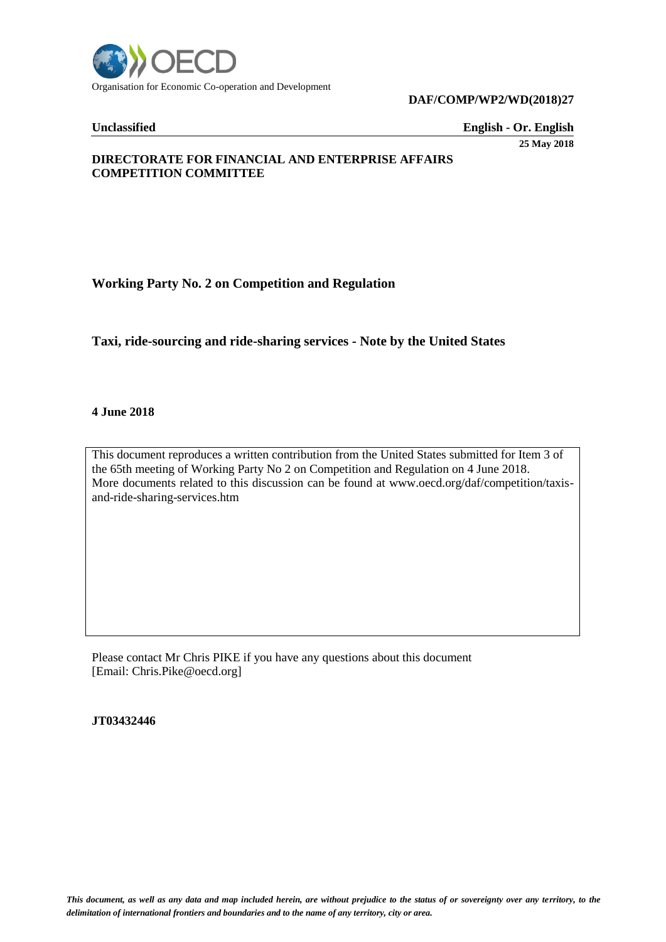

#### **DAF/COMP/WP2/WD(2018)27**

**Unclassified English - Or. English** 

**25 May 2018**

# **DIRECTORATE FOR FINANCIAL AND ENTERPRISE AFFAIRS COMPETITION COMMITTEE**

# **Working Party No. 2 on Competition and Regulation**

# **Taxi, ride-sourcing and ride-sharing services - Note by the United States**

#### **4 June 2018**

This document reproduces a written contribution from the United States submitted for Item 3 of the 65th meeting of Working Party No 2 on Competition and Regulation on 4 June 2018. More documents related to this discussion can be found at www.oecd.org/daf/competition/taxisand-ride-sharing-services.htm

Please contact Mr Chris PIKE if you have any questions about this document [Email: Chris.Pike@oecd.org]

**JT03432446**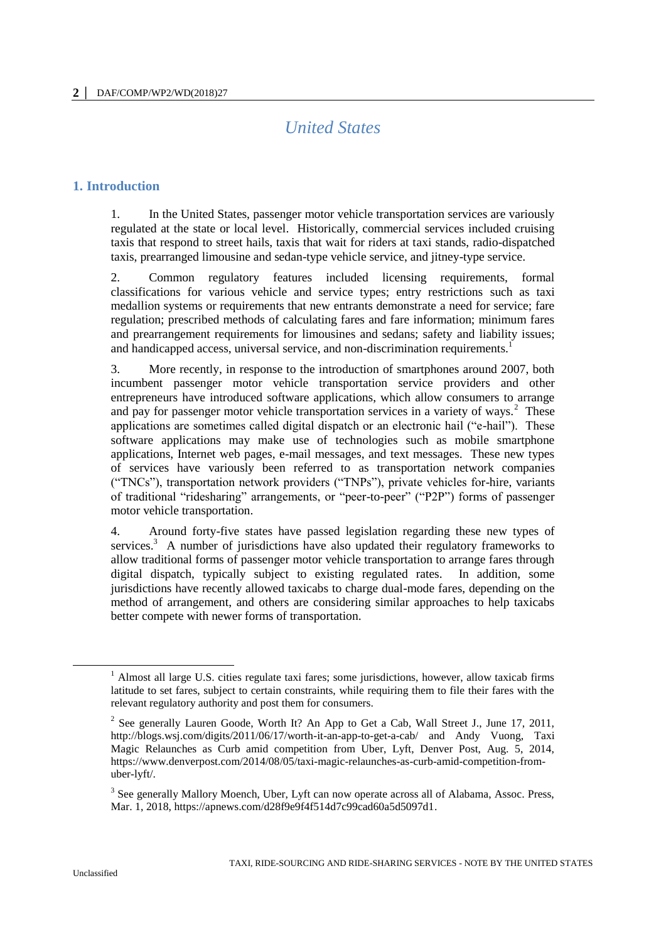# *United States*

# **1. Introduction**

1. In the United States, passenger motor vehicle transportation services are variously regulated at the state or local level. Historically, commercial services included cruising taxis that respond to street hails, taxis that wait for riders at taxi stands, radio-dispatched taxis, prearranged limousine and sedan-type vehicle service, and jitney-type service.

2. Common regulatory features included licensing requirements, formal classifications for various vehicle and service types; entry restrictions such as taxi medallion systems or requirements that new entrants demonstrate a need for service; fare regulation; prescribed methods of calculating fares and fare information; minimum fares and prearrangement requirements for limousines and sedans; safety and liability issues; and handicapped access, universal service, and non-discrimination requirements.<sup>1</sup>

3. More recently, in response to the introduction of smartphones around 2007, both incumbent passenger motor vehicle transportation service providers and other entrepreneurs have introduced software applications, which allow consumers to arrange and pay for passenger motor vehicle transportation services in a variety of ways. $2$  These applications are sometimes called digital dispatch or an electronic hail ("e-hail"). These software applications may make use of technologies such as mobile smartphone applications, Internet web pages, e-mail messages, and text messages. These new types of services have variously been referred to as transportation network companies ("TNCs"), transportation network providers ("TNPs"), private vehicles for-hire, variants of traditional "ridesharing" arrangements, or "peer-to-peer" ("P2P") forms of passenger motor vehicle transportation.

4. Around forty-five states have passed legislation regarding these new types of services.<sup>3</sup> A number of jurisdictions have also updated their regulatory frameworks to allow traditional forms of passenger motor vehicle transportation to arrange fares through digital dispatch, typically subject to existing regulated rates. In addition, some jurisdictions have recently allowed taxicabs to charge dual-mode fares, depending on the method of arrangement, and others are considering similar approaches to help taxicabs better compete with newer forms of transportation.

 $<sup>1</sup>$  Almost all large U.S. cities regulate taxi fares; some jurisdictions, however, allow taxicab firms</sup> latitude to set fares, subject to certain constraints, while requiring them to file their fares with the relevant regulatory authority and post them for consumers.

<sup>&</sup>lt;sup>2</sup> See generally Lauren Goode, Worth It? An App to Get a Cab, Wall Street J., June 17, 2011, <http://blogs.wsj.com/digits/2011/06/17/worth-it-an-app-to-get-a-cab/> and Andy Vuong, Taxi Magic Relaunches as Curb amid competition from Uber, Lyft, Denver Post, Aug. 5, 2014, [https://www.denverpost.com/2014/08/05/taxi-magic-relaunches-as-curb-amid-competition-from](https://www.denverpost.com/2014/08/05/taxi-magic-relaunches-as-curb-amid-competition-from-uber-lyft/)[uber-lyft/.](https://www.denverpost.com/2014/08/05/taxi-magic-relaunches-as-curb-amid-competition-from-uber-lyft/)

<sup>&</sup>lt;sup>3</sup> See generally Mallory Moench, Uber, Lyft can now operate across all of Alabama, Assoc. Press, Mar. 1, 2018, [https://apnews.com/d28f9e9f4f514d7c99cad60a5d5097d1.](https://apnews.com/d28f9e9f4f514d7c99cad60a5d5097d1)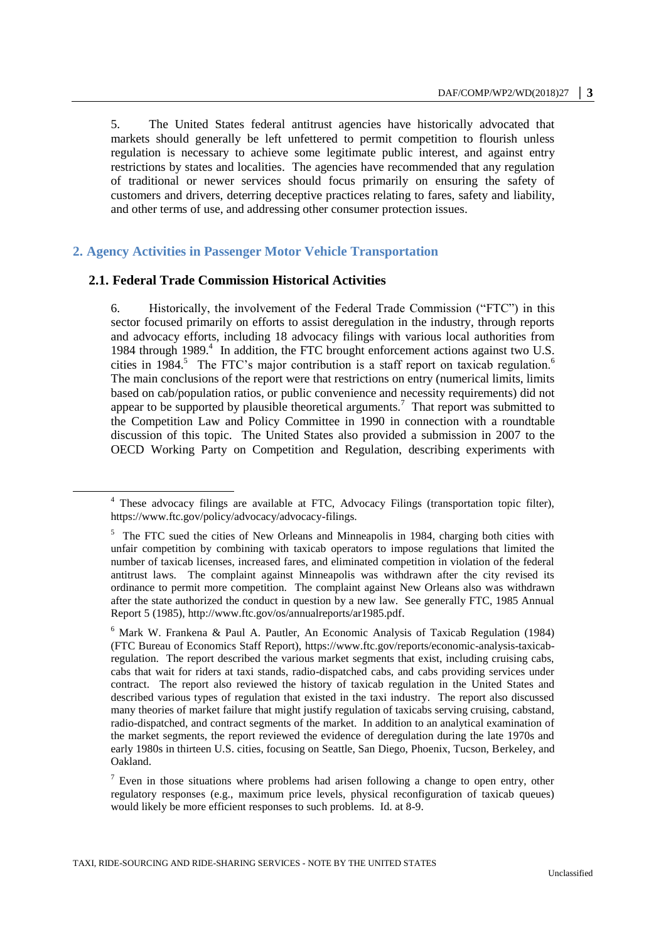5. The United States federal antitrust agencies have historically advocated that markets should generally be left unfettered to permit competition to flourish unless regulation is necessary to achieve some legitimate public interest, and against entry restrictions by states and localities. The agencies have recommended that any regulation of traditional or newer services should focus primarily on ensuring the safety of customers and drivers, deterring deceptive practices relating to fares, safety and liability, and other terms of use, and addressing other consumer protection issues.

### **2. Agency Activities in Passenger Motor Vehicle Transportation**

#### **2.1. Federal Trade Commission Historical Activities**

 $\overline{a}$ 

6. Historically, the involvement of the Federal Trade Commission ("FTC") in this sector focused primarily on efforts to assist deregulation in the industry, through reports and advocacy efforts, including 18 advocacy filings with various local authorities from 1984 through 1989.<sup>4</sup> In addition, the FTC brought enforcement actions against two U.S. cities in 1984.<sup>5</sup> The FTC's major contribution is a staff report on taxicab regulation.<sup>6</sup> I, The main conclusions of the report were that restrictions on entry (numerical limits, limits based on cab/population ratios, or public convenience and necessity requirements) did not appear to be supported by plausible theoretical arguments.<sup>7</sup> That report was submitted to the Competition Law and Policy Committee in 1990 in connection with a roundtable discussion of this topic. The United States also provided a submission in 2007 to the OECD Working Party on Competition and Regulation, describing experiments with

<sup>4</sup> These advocacy filings are available at FTC, Advocacy Filings (transportation topic filter), [https://www.ftc.gov/policy/advocacy/advocacy-filings.](https://www.ftc.gov/policy/advocacy/advocacy-filings)

<sup>&</sup>lt;sup>5</sup> The FTC sued the cities of New Orleans and Minneapolis in 1984, charging both cities with unfair competition by combining with taxicab operators to impose regulations that limited the number of taxicab licenses, increased fares, and eliminated competition in violation of the federal antitrust laws. The complaint against Minneapolis was withdrawn after the city revised its ordinance to permit more competition. The complaint against New Orleans also was withdrawn after the state authorized the conduct in question by a new law. See generally FTC, 1985 Annual Report 5 (1985), [http://www.ftc.gov/os/annualreports/ar1985.pdf.](http://www.ftc.gov/os/annualreports/ar1985.pdf) 

<sup>6</sup> Mark W. Frankena & Paul A. Pautler, An Economic Analysis of Taxicab Regulation (1984) (FTC Bureau of Economics Staff Report), [https://www.ftc.gov/reports/economic-analysis-taxicab](https://www.ftc.gov/reports/economic-analysis-taxicab-regulation)[regulation.](https://www.ftc.gov/reports/economic-analysis-taxicab-regulation) The report described the various market segments that exist, including cruising cabs, cabs that wait for riders at taxi stands, radio-dispatched cabs, and cabs providing services under contract. The report also reviewed the history of taxicab regulation in the United States and described various types of regulation that existed in the taxi industry. The report also discussed many theories of market failure that might justify regulation of taxicabs serving cruising, cabstand, radio-dispatched, and contract segments of the market. In addition to an analytical examination of the market segments, the report reviewed the evidence of deregulation during the late 1970s and early 1980s in thirteen U.S. cities, focusing on Seattle, San Diego, Phoenix, Tucson, Berkeley, and Oakland.

 $<sup>7</sup>$  Even in those situations where problems had arisen following a change to open entry, other</sup> regulatory responses (e.g., maximum price levels, physical reconfiguration of taxicab queues) would likely be more efficient responses to such problems. Id. at 8-9.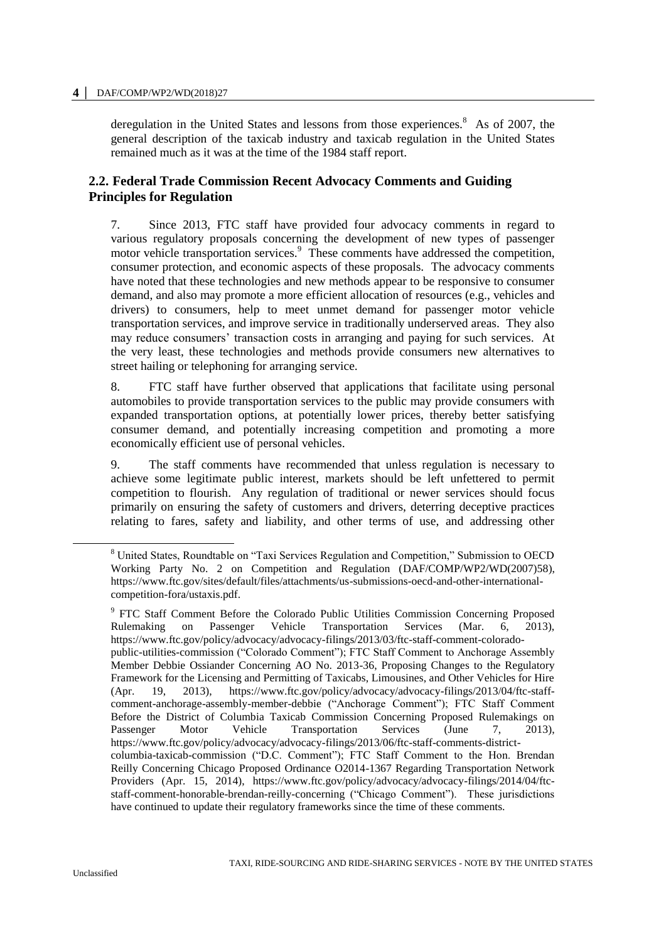deregulation in the United States and lessons from those experiences.<sup>8</sup> As of 2007, the general description of the taxicab industry and taxicab regulation in the United States remained much as it was at the time of the 1984 staff report.

# **2.2. Federal Trade Commission Recent Advocacy Comments and Guiding Principles for Regulation**

7. Since 2013, FTC staff have provided four advocacy comments in regard to various regulatory proposals concerning the development of new types of passenger motor vehicle transportation services.<sup>9</sup> These comments have addressed the competition, consumer protection, and economic aspects of these proposals. The advocacy comments have noted that these technologies and new methods appear to be responsive to consumer demand, and also may promote a more efficient allocation of resources (e.g., vehicles and drivers) to consumers, help to meet unmet demand for passenger motor vehicle transportation services, and improve service in traditionally underserved areas. They also may reduce consumers' transaction costs in arranging and paying for such services. At the very least, these technologies and methods provide consumers new alternatives to street hailing or telephoning for arranging service.

8. FTC staff have further observed that applications that facilitate using personal automobiles to provide transportation services to the public may provide consumers with expanded transportation options, at potentially lower prices, thereby better satisfying consumer demand, and potentially increasing competition and promoting a more economically efficient use of personal vehicles.

9. The staff comments have recommended that unless regulation is necessary to achieve some legitimate public interest, markets should be left unfettered to permit competition to flourish. Any regulation of traditional or newer services should focus primarily on ensuring the safety of customers and drivers, deterring deceptive practices relating to fares, safety and liability, and other terms of use, and addressing other

<sup>8</sup> United States, Roundtable on "Taxi Services Regulation and Competition," Submission to OECD Working Party No. 2 on Competition and Regulation (DAF/COMP/WP2/WD(2007)58), [https://www.ftc.gov/sites/default/files/attachments/us-submissions-oecd-and-other-international](https://www.ftc.gov/sites/default/files/attachments/us-submissions-oecd-and-other-international-competition-fora/ustaxis.pdf)[competition-fora/ustaxis.pdf.](https://www.ftc.gov/sites/default/files/attachments/us-submissions-oecd-and-other-international-competition-fora/ustaxis.pdf)

<sup>&</sup>lt;sup>9</sup> FTC Staff Comment Before the Colorado Public Utilities Commission Concerning Proposed Rulemaking on Passenger Vehicle Transportation Services (Mar. 6, 2013), [https://www.ftc.gov/policy/advocacy/advocacy-filings/2013/03/ftc-staff-comment-colorado](https://www.ftc.gov/policy/advocacy/advocacy-filings/2013/03/ftc-staff-comment-colorado-public-utilities-commission)[public-utilities-commission](https://www.ftc.gov/policy/advocacy/advocacy-filings/2013/03/ftc-staff-comment-colorado-public-utilities-commission) ("Colorado Comment"); FTC Staff Comment to Anchorage Assembly Member Debbie Ossiander Concerning AO No. 2013-36, Proposing Changes to the Regulatory Framework for the Licensing and Permitting of Taxicabs, Limousines, and Other Vehicles for Hire (Apr. 19, 2013), [https://www.ftc.gov/policy/advocacy/advocacy-filings/2013/04/ftc-staff](https://www.ftc.gov/policy/advocacy/advocacy-filings/2013/04/ftc-staff-comment-anchorage-assembly-member-debbie)[comment-anchorage-assembly-member-debbie](https://www.ftc.gov/policy/advocacy/advocacy-filings/2013/04/ftc-staff-comment-anchorage-assembly-member-debbie) ("Anchorage Comment"); FTC Staff Comment Before the District of Columbia Taxicab Commission Concerning Proposed Rulemakings on Passenger Motor Vehicle Transportation Services (June 7, 2013), [https://www.ftc.gov/policy/advocacy/advocacy-filings/2013/06/ftc-staff-comments-district](https://www.ftc.gov/policy/advocacy/advocacy-filings/2013/06/ftc-staff-comments-district-columbia-taxicab-commission)[columbia-taxicab-commission](https://www.ftc.gov/policy/advocacy/advocacy-filings/2013/06/ftc-staff-comments-district-columbia-taxicab-commission) ("D.C. Comment"); FTC Staff Comment to the Hon. Brendan Reilly Concerning Chicago Proposed Ordinance O2014-1367 Regarding Transportation Network Providers (Apr. 15, 2014), [https://www.ftc.gov/policy/advocacy/advocacy-filings/2014/04/ftc](https://www.ftc.gov/policy/advocacy/advocacy-filings/2014/04/ftc-staff-comment-honorable-brendan-reilly-concerning)[staff-comment-honorable-brendan-reilly-concerning](https://www.ftc.gov/policy/advocacy/advocacy-filings/2014/04/ftc-staff-comment-honorable-brendan-reilly-concerning) ("Chicago Comment"). These jurisdictions have continued to update their regulatory frameworks since the time of these comments.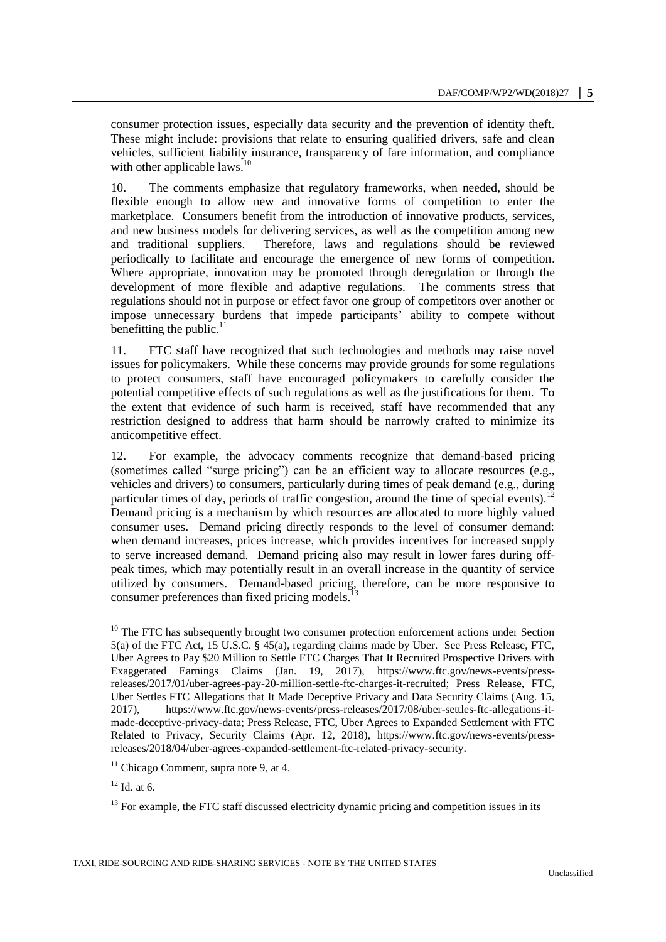consumer protection issues, especially data security and the prevention of identity theft. These might include: provisions that relate to ensuring qualified drivers, safe and clean vehicles, sufficient liability insurance, transparency of fare information, and compliance with other applicable laws.<sup>10</sup>

10. The comments emphasize that regulatory frameworks, when needed, should be flexible enough to allow new and innovative forms of competition to enter the marketplace. Consumers benefit from the introduction of innovative products, services, and new business models for delivering services, as well as the competition among new and traditional suppliers. Therefore, laws and regulations should be reviewed periodically to facilitate and encourage the emergence of new forms of competition. Where appropriate, innovation may be promoted through deregulation or through the development of more flexible and adaptive regulations. The comments stress that regulations should not in purpose or effect favor one group of competitors over another or impose unnecessary burdens that impede participants' ability to compete without benefitting the public.<sup>11</sup>

11. FTC staff have recognized that such technologies and methods may raise novel issues for policymakers. While these concerns may provide grounds for some regulations to protect consumers, staff have encouraged policymakers to carefully consider the potential competitive effects of such regulations as well as the justifications for them. To the extent that evidence of such harm is received, staff have recommended that any restriction designed to address that harm should be narrowly crafted to minimize its anticompetitive effect.

12. For example, the advocacy comments recognize that demand-based pricing (sometimes called "surge pricing") can be an efficient way to allocate resources (e.g., vehicles and drivers) to consumers, particularly during times of peak demand (e.g., during particular times of day, periods of traffic congestion, around the time of special events).<sup>12</sup> Demand pricing is a mechanism by which resources are allocated to more highly valued consumer uses. Demand pricing directly responds to the level of consumer demand: when demand increases, prices increase, which provides incentives for increased supply to serve increased demand. Demand pricing also may result in lower fares during offpeak times, which may potentially result in an overall increase in the quantity of service utilized by consumers. Demand-based pricing, therefore, can be more responsive to consumer preferences than fixed pricing models.

 $10$  The FTC has subsequently brought two consumer protection enforcement actions under Section 5(a) of the FTC Act, 15 U.S.C. § 45(a), regarding claims made by Uber. See Press Release, FTC, Uber Agrees to Pay \$20 Million to Settle FTC Charges That It Recruited Prospective Drivers with Exaggerated Earnings Claims (Jan. 19, 2017), [https://www.ftc.gov/news-events/press](https://www.ftc.gov/news-events/press-releases/2017/01/uber-agrees-pay-20-million-settle-ftc-charges-it-recruited)[releases/2017/01/uber-agrees-pay-20-million-settle-ftc-charges-it-recruited;](https://www.ftc.gov/news-events/press-releases/2017/01/uber-agrees-pay-20-million-settle-ftc-charges-it-recruited) Press Release, FTC, Uber Settles FTC Allegations that It Made Deceptive Privacy and Data Security Claims (Aug. 15, 2017), [https://www.ftc.gov/news-events/press-releases/2017/08/uber-settles-ftc-allegations-it](https://www.ftc.gov/news-events/press-releases/2017/08/uber-settles-ftc-allegations-it-made-deceptive-privacy-data)[made-deceptive-privacy-data;](https://www.ftc.gov/news-events/press-releases/2017/08/uber-settles-ftc-allegations-it-made-deceptive-privacy-data) Press Release, FTC, Uber Agrees to Expanded Settlement with FTC Related to Privacy, Security Claims (Apr. 12, 2018), [https://www.ftc.gov/news-events/press](https://www.ftc.gov/news-events/press-releases/2018/04/uber-agrees-expanded-settlement-ftc-related-privacy-security)[releases/2018/04/uber-agrees-expanded-settlement-ftc-related-privacy-security.](https://www.ftc.gov/news-events/press-releases/2018/04/uber-agrees-expanded-settlement-ftc-related-privacy-security)

<sup>&</sup>lt;sup>11</sup> Chicago Comment, supra note 9, at 4.

 $12$  Id. at 6.

 $13$  For example, the FTC staff discussed electricity dynamic pricing and competition issues in its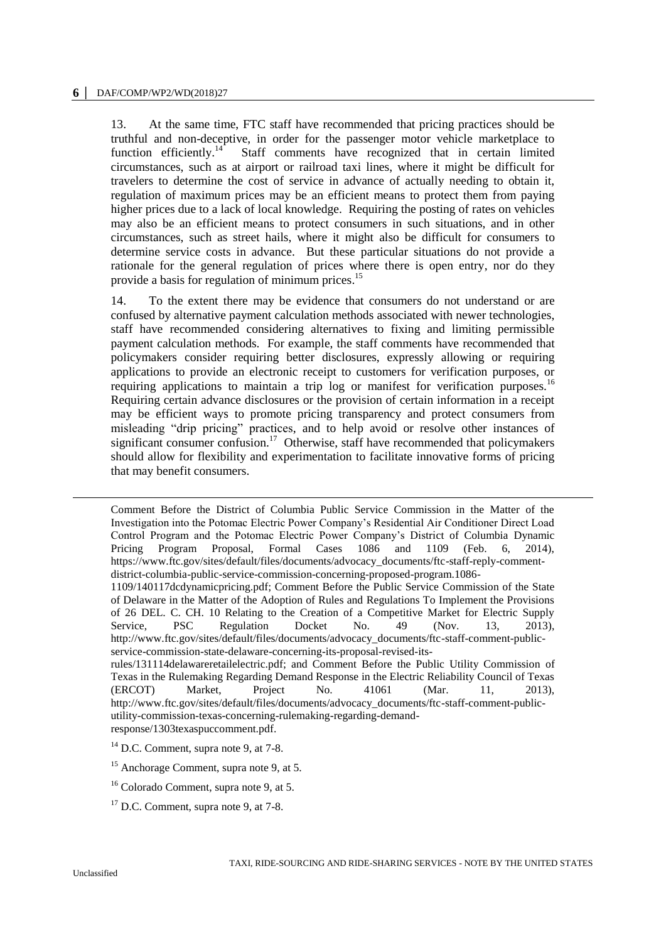13. At the same time, FTC staff have recommended that pricing practices should be truthful and non-deceptive, in order for the passenger motor vehicle marketplace to function efficiently. $^{14}$  Staff comments have recognized that in certain limited circumstances, such as at airport or railroad taxi lines, where it might be difficult for travelers to determine the cost of service in advance of actually needing to obtain it, regulation of maximum prices may be an efficient means to protect them from paying higher prices due to a lack of local knowledge. Requiring the posting of rates on vehicles may also be an efficient means to protect consumers in such situations, and in other circumstances, such as street hails, where it might also be difficult for consumers to determine service costs in advance. But these particular situations do not provide a rationale for the general regulation of prices where there is open entry, nor do they provide a basis for regulation of minimum prices.<sup>15</sup>

14. To the extent there may be evidence that consumers do not understand or are confused by alternative payment calculation methods associated with newer technologies, staff have recommended considering alternatives to fixing and limiting permissible payment calculation methods. For example, the staff comments have recommended that policymakers consider requiring better disclosures, expressly allowing or requiring applications to provide an electronic receipt to customers for verification purposes, or requiring applications to maintain a trip log or manifest for verification purposes.<sup>16</sup> Requiring certain advance disclosures or the provision of certain information in a receipt may be efficient ways to promote pricing transparency and protect consumers from misleading "drip pricing" practices, and to help avoid or resolve other instances of significant consumer confusion.<sup>17</sup> Otherwise, staff have recommended that policymakers should allow for flexibility and experimentation to facilitate innovative forms of pricing that may benefit consumers.

-

Comment Before the District of Columbia Public Service Commission in the Matter of the Investigation into the Potomac Electric Power Company's Residential Air Conditioner Direct Load Control Program and the Potomac Electric Power Company's District of Columbia Dynamic Pricing Program Proposal, Formal Cases 1086 and 1109 (Feb. 6, 2014), [https://www.ftc.gov/sites/default/files/documents/advocacy\\_documents/ftc-staff-reply-comment](https://www.ftc.gov/sites/default/files/documents/advocacy_documents/ftc-staff-reply-comment-district-columbia-public-service-commission-concerning-proposed-program.1086-1109/140117dcdynamicpricing.pdf)[district-columbia-public-service-commission-concerning-proposed-program.1086-](https://www.ftc.gov/sites/default/files/documents/advocacy_documents/ftc-staff-reply-comment-district-columbia-public-service-commission-concerning-proposed-program.1086-1109/140117dcdynamicpricing.pdf)

[<sup>1109/140117</sup>dcdynamicpricing.pdf;](https://www.ftc.gov/sites/default/files/documents/advocacy_documents/ftc-staff-reply-comment-district-columbia-public-service-commission-concerning-proposed-program.1086-1109/140117dcdynamicpricing.pdf) Comment Before the Public Service Commission of the State of Delaware in the Matter of the Adoption of Rules and Regulations To Implement the Provisions of 26 DEL. C. CH. 10 Relating to the Creation of a Competitive Market for Electric Supply Service, PSC Regulation Docket No. 49 (Nov. 13, 2013), [http://www.ftc.gov/sites/default/files/documents/advocacy\\_documents/ftc-staff-comment-public](http://www.ftc.gov/sites/default/files/documents/advocacy_documents/ftc-staff-comment-public-service-commission-state-delaware-concerning-its-proposal-revised-its-rules/131114delawareretailelectric.pdf)[service-commission-state-delaware-concerning-its-proposal-revised-its-](http://www.ftc.gov/sites/default/files/documents/advocacy_documents/ftc-staff-comment-public-service-commission-state-delaware-concerning-its-proposal-revised-its-rules/131114delawareretailelectric.pdf)

[rules/131114delawareretailelectric.pdf;](http://www.ftc.gov/sites/default/files/documents/advocacy_documents/ftc-staff-comment-public-service-commission-state-delaware-concerning-its-proposal-revised-its-rules/131114delawareretailelectric.pdf) and Comment Before the Public Utility Commission of Texas in the Rulemaking Regarding Demand Response in the Electric Reliability Council of Texas (ERCOT) Market, Project No. 41061 (Mar. 11, 2013), [http://www.ftc.gov/sites/default/files/documents/advocacy\\_documents/ftc-staff-comment-public](http://www.ftc.gov/sites/default/files/documents/advocacy_documents/ftc-staff-comment-public-utility-commission-texas-concerning-rulemaking-regarding-demand-response/1303texaspuccomment.pdf)[utility-commission-texas-concerning-rulemaking-regarding-demand](http://www.ftc.gov/sites/default/files/documents/advocacy_documents/ftc-staff-comment-public-utility-commission-texas-concerning-rulemaking-regarding-demand-response/1303texaspuccomment.pdf)[response/1303texaspuccomment.pdf.](http://www.ftc.gov/sites/default/files/documents/advocacy_documents/ftc-staff-comment-public-utility-commission-texas-concerning-rulemaking-regarding-demand-response/1303texaspuccomment.pdf)

 $14$  D.C. Comment, supra note 9, at 7-8.

<sup>&</sup>lt;sup>15</sup> Anchorage Comment, supra note 9, at 5.

<sup>&</sup>lt;sup>16</sup> Colorado Comment, supra note 9, at 5.

 $17$  D.C. Comment, supra note 9, at 7-8.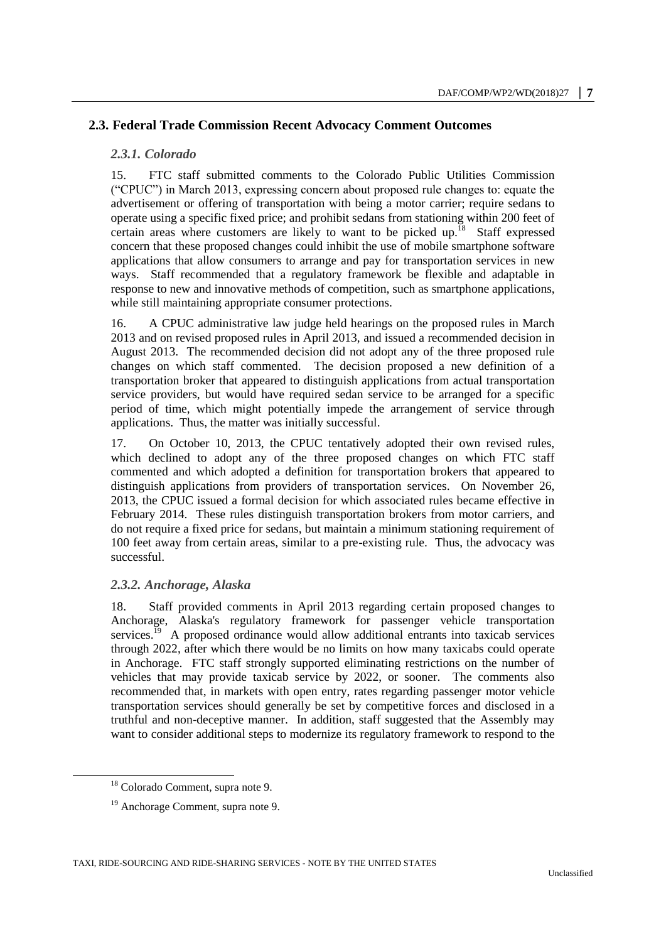# **2.3. Federal Trade Commission Recent Advocacy Comment Outcomes**

#### *2.3.1. Colorado*

15. FTC staff submitted comments to the Colorado Public Utilities Commission ("CPUC") in March 2013, expressing concern about proposed rule changes to: equate the advertisement or offering of transportation with being a motor carrier; require sedans to operate using a specific fixed price; and prohibit sedans from stationing within 200 feet of certain areas where customers are likely to want to be picked up.<sup>18</sup> Staff expressed concern that these proposed changes could inhibit the use of mobile smartphone software applications that allow consumers to arrange and pay for transportation services in new ways. Staff recommended that a regulatory framework be flexible and adaptable in response to new and innovative methods of competition, such as smartphone applications, while still maintaining appropriate consumer protections.

16. A CPUC administrative law judge held hearings on the proposed rules in March 2013 and on revised proposed rules in April 2013, and issued a recommended decision in August 2013. The recommended decision did not adopt any of the three proposed rule changes on which staff commented. The decision proposed a new definition of a transportation broker that appeared to distinguish applications from actual transportation service providers, but would have required sedan service to be arranged for a specific period of time, which might potentially impede the arrangement of service through applications. Thus, the matter was initially successful.

17. On October 10, 2013, the CPUC tentatively adopted their own revised rules, which declined to adopt any of the three proposed changes on which FTC staff commented and which adopted a definition for transportation brokers that appeared to distinguish applications from providers of transportation services. On November 26, 2013, the CPUC issued a formal decision for which associated rules became effective in February 2014. These rules distinguish transportation brokers from motor carriers, and do not require a fixed price for sedans, but maintain a minimum stationing requirement of 100 feet away from certain areas, similar to a pre-existing rule. Thus, the advocacy was successful.

# *2.3.2. Anchorage, Alaska*

18. Staff provided comments in April 2013 regarding certain proposed changes to Anchorage, Alaska's regulatory framework for passenger vehicle transportation services.<sup>19</sup> A proposed ordinance would allow additional entrants into taxicab services through 2022, after which there would be no limits on how many taxicabs could operate in Anchorage. FTC staff strongly supported eliminating restrictions on the number of vehicles that may provide taxicab service by 2022, or sooner. The comments also recommended that, in markets with open entry, rates regarding passenger motor vehicle transportation services should generally be set by competitive forces and disclosed in a truthful and non-deceptive manner. In addition, staff suggested that the Assembly may want to consider additional steps to modernize its regulatory framework to respond to the

<sup>18</sup> Colorado Comment, supra note 9.

<sup>19</sup> Anchorage Comment, supra note 9.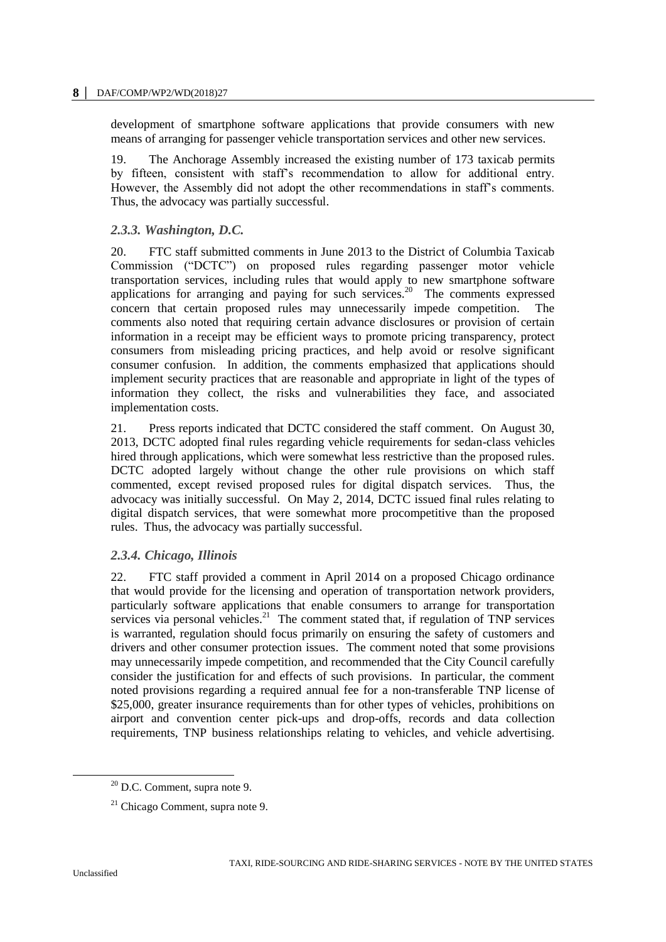development of smartphone software applications that provide consumers with new means of arranging for passenger vehicle transportation services and other new services.

19. The Anchorage Assembly increased the existing number of 173 taxicab permits by fifteen, consistent with staff's recommendation to allow for additional entry. However, the Assembly did not adopt the other recommendations in staff's comments. Thus, the advocacy was partially successful.

# *2.3.3. Washington, D.C.*

20. FTC staff submitted comments in June 2013 to the District of Columbia Taxicab Commission ("DCTC") on proposed rules regarding passenger motor vehicle transportation services, including rules that would apply to new smartphone software applications for arranging and paying for such services.<sup>20</sup> The comments expressed concern that certain proposed rules may unnecessarily impede competition. The comments also noted that requiring certain advance disclosures or provision of certain information in a receipt may be efficient ways to promote pricing transparency, protect consumers from misleading pricing practices, and help avoid or resolve significant consumer confusion. In addition, the comments emphasized that applications should implement security practices that are reasonable and appropriate in light of the types of information they collect, the risks and vulnerabilities they face, and associated implementation costs.

21. Press reports indicated that DCTC considered the staff comment. On August 30, 2013, DCTC adopted final rules regarding vehicle requirements for sedan-class vehicles hired through applications, which were somewhat less restrictive than the proposed rules. DCTC adopted largely without change the other rule provisions on which staff commented, except revised proposed rules for digital dispatch services. Thus, the advocacy was initially successful. On May 2, 2014, DCTC issued final rules relating to digital dispatch services, that were somewhat more procompetitive than the proposed rules. Thus, the advocacy was partially successful.

# *2.3.4. Chicago, Illinois*

22. FTC staff provided a comment in April 2014 on a proposed Chicago ordinance that would provide for the licensing and operation of transportation network providers, particularly software applications that enable consumers to arrange for transportation services via personal vehicles. $21$  The comment stated that, if regulation of TNP services is warranted, regulation should focus primarily on ensuring the safety of customers and drivers and other consumer protection issues. The comment noted that some provisions may unnecessarily impede competition, and recommended that the City Council carefully consider the justification for and effects of such provisions. In particular, the comment noted provisions regarding a required annual fee for a non-transferable TNP license of \$25,000, greater insurance requirements than for other types of vehicles, prohibitions on airport and convention center pick-ups and drop-offs, records and data collection requirements, TNP business relationships relating to vehicles, and vehicle advertising.

 $20$  D.C. Comment, supra note 9.

 $21$  Chicago Comment, supra note 9.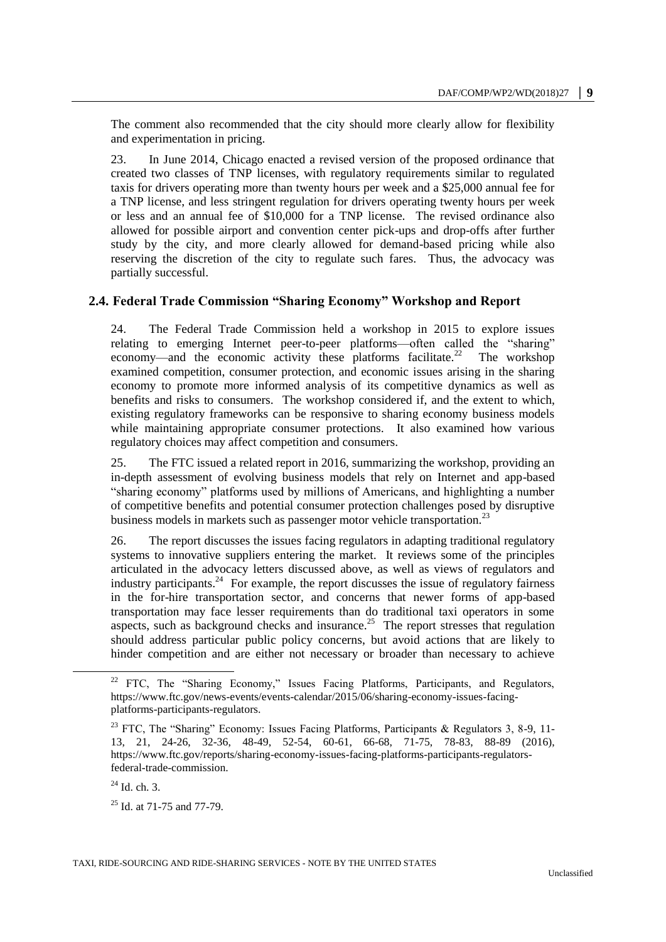The comment also recommended that the city should more clearly allow for flexibility and experimentation in pricing.

23. In June 2014, Chicago enacted a revised version of the proposed ordinance that created two classes of TNP licenses, with regulatory requirements similar to regulated taxis for drivers operating more than twenty hours per week and a \$25,000 annual fee for a TNP license, and less stringent regulation for drivers operating twenty hours per week or less and an annual fee of \$10,000 for a TNP license. The revised ordinance also allowed for possible airport and convention center pick-ups and drop-offs after further study by the city, and more clearly allowed for demand-based pricing while also reserving the discretion of the city to regulate such fares. Thus, the advocacy was partially successful.

# **2.4. Federal Trade Commission "Sharing Economy" Workshop and Report**

24. The Federal Trade Commission held a workshop in 2015 to explore issues relating to emerging Internet peer-to-peer platforms—often called the "sharing" economy—and the economic activity these platforms facilitate.<sup>22</sup> The workshop examined competition, consumer protection, and economic issues arising in the sharing economy to promote more informed analysis of its competitive dynamics as well as benefits and risks to consumers. The workshop considered if, and the extent to which, existing regulatory frameworks can be responsive to sharing economy business models while maintaining appropriate consumer protections. It also examined how various regulatory choices may affect competition and consumers.

25. The FTC issued a related report in 2016, summarizing the workshop, providing an in-depth assessment of evolving business models that rely on Internet and app-based "sharing economy" platforms used by millions of Americans, and highlighting a number of competitive benefits and potential consumer protection challenges posed by disruptive business models in markets such as passenger motor vehicle transportation.<sup>23</sup>

26. The report discusses the issues facing regulators in adapting traditional regulatory systems to innovative suppliers entering the market. It reviews some of the principles articulated in the advocacy letters discussed above, as well as views of regulators and industry participants.<sup>24</sup> For example, the report discusses the issue of regulatory fairness in the for-hire transportation sector, and concerns that newer forms of app-based transportation may face lesser requirements than do traditional taxi operators in some aspects, such as background checks and insurance.<sup>25</sup> The report stresses that regulation should address particular public policy concerns, but avoid actions that are likely to hinder competition and are either not necessary or broader than necessary to achieve

 $24$  Id. ch. 3.

 $\overline{a}$ 

 $25$  Id. at 71-75 and 77-79.

<sup>&</sup>lt;sup>22</sup> FTC, The "Sharing Economy," Issues Facing Platforms, Participants, and Regulators, [https://www.ftc.gov/news-events/events-calendar/2015/06/sharing-economy-issues-facing](https://www.ftc.gov/news-events/events-calendar/2015/06/sharing-economy-issues-facing-platforms-participants-regulators)[platforms-participants-regulators.](https://www.ftc.gov/news-events/events-calendar/2015/06/sharing-economy-issues-facing-platforms-participants-regulators)

<sup>&</sup>lt;sup>23</sup> FTC, The "Sharing" Economy: Issues Facing Platforms, Participants & Regulators 3, 8-9, 11-13, 21, 24-26, 32-36, 48-49, 52-54, 60-61, 66-68, 71-75, 78-83, 88-89 (2016), [https://www.ftc.gov/reports/sharing-economy-issues-facing-platforms-participants-regulators](https://www.ftc.gov/reports/sharing-economy-issues-facing-platforms-participants-regulators-federal-trade-commission)[federal-trade-commission.](https://www.ftc.gov/reports/sharing-economy-issues-facing-platforms-participants-regulators-federal-trade-commission)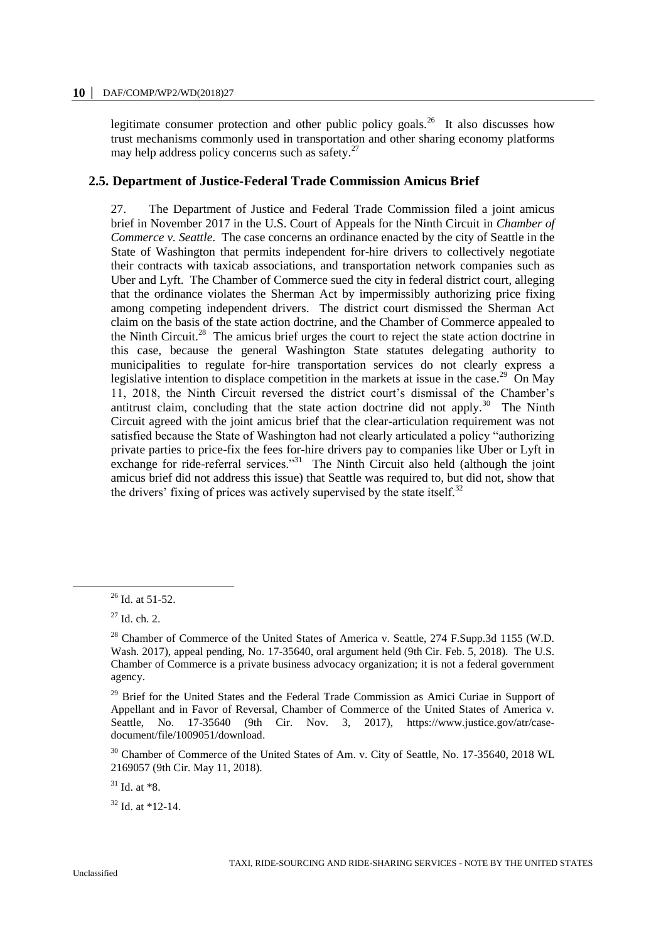legitimate consumer protection and other public policy goals.<sup>26</sup> It also discusses how trust mechanisms commonly used in transportation and other sharing economy platforms may help address policy concerns such as safety. $27$ 

# **2.5. Department of Justice-Federal Trade Commission Amicus Brief**

27. The Department of Justice and Federal Trade Commission filed a joint amicus brief in November 2017 in the U.S. Court of Appeals for the Ninth Circuit in *Chamber of Commerce v. Seattle*. The case concerns an ordinance enacted by the city of Seattle in the State of Washington that permits independent for-hire drivers to collectively negotiate their contracts with taxicab associations, and transportation network companies such as Uber and Lyft. The Chamber of Commerce sued the city in federal district court, alleging that the ordinance violates the Sherman Act by impermissibly authorizing price fixing among competing independent drivers. The district court dismissed the Sherman Act claim on the basis of the state action doctrine, and the Chamber of Commerce appealed to the Ninth Circuit.<sup>28</sup> The amicus brief urges the court to reject the state action doctrine in this case, because the general Washington State statutes delegating authority to municipalities to regulate for-hire transportation services do not clearly express a legislative intention to displace competition in the markets at issue in the case.<sup>29</sup> On May 11, 2018, the Ninth Circuit reversed the district court's dismissal of the Chamber's antitrust claim, concluding that the state action doctrine did not apply.<sup>30</sup> The Ninth Circuit agreed with the joint amicus brief that the clear-articulation requirement was not satisfied because the State of Washington had not clearly articulated a policy "authorizing private parties to price-fix the fees for-hire drivers pay to companies like Uber or Lyft in exchange for ride-referral services."<sup>31</sup> The Ninth Circuit also held (although the joint amicus brief did not address this issue) that Seattle was required to, but did not, show that the drivers' fixing of prices was actively supervised by the state itself.<sup>32</sup>

 $\overline{a}$ 

 $31$  Id. at  $*8$ .

 $32$  Id. at  $*12-14$ .

<sup>26</sup> Id. at 51-52.

 $27$  Id. ch. 2.

<sup>&</sup>lt;sup>28</sup> Chamber of Commerce of the United States of America v. Seattle, 274 F.Supp.3d 1155 (W.D. Wash. 2017), appeal pending, No. 17-35640, oral argument held (9th Cir. Feb. 5, 2018). The U.S. Chamber of Commerce is a private business advocacy organization; it is not a federal government agency.

<sup>&</sup>lt;sup>29</sup> Brief for the United States and the Federal Trade Commission as Amici Curiae in Support of Appellant and in Favor of Reversal, Chamber of Commerce of the United States of America v. Seattle, No. 17-35640 (9th Cir. Nov. 3, 2017), [https://www.justice.gov/atr/case](https://www.justice.gov/atr/case-document/file/1009051/download)[document/file/1009051/download.](https://www.justice.gov/atr/case-document/file/1009051/download)

<sup>&</sup>lt;sup>30</sup> Chamber of Commerce of the United States of Am. v. City of Seattle, No. 17-35640, 2018 WL 2169057 (9th Cir. May 11, 2018).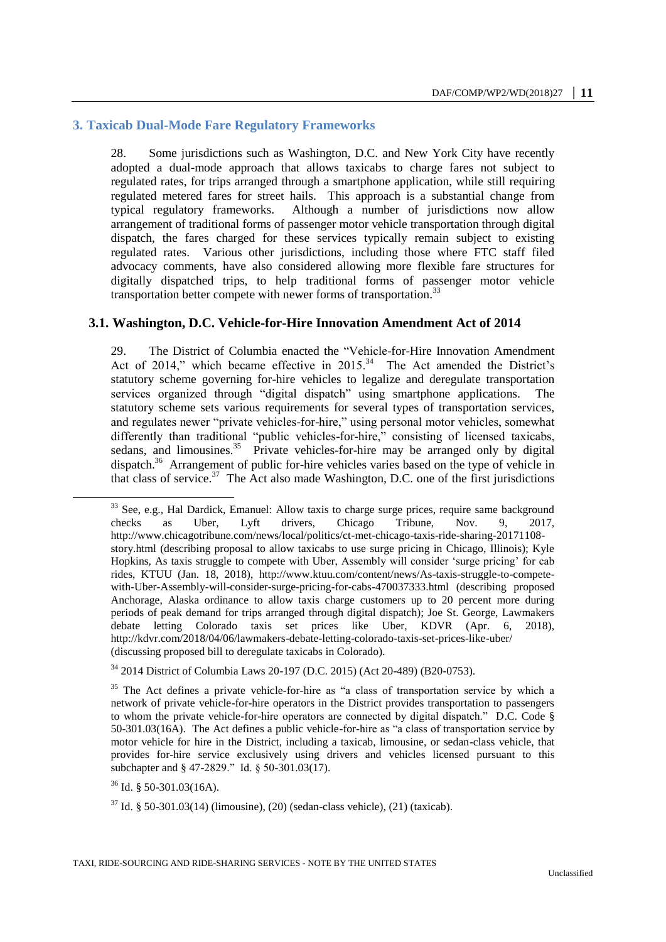# **3. Taxicab Dual-Mode Fare Regulatory Frameworks**

28. Some jurisdictions such as Washington, D.C. and New York City have recently adopted a dual-mode approach that allows taxicabs to charge fares not subject to regulated rates, for trips arranged through a smartphone application, while still requiring regulated metered fares for street hails. This approach is a substantial change from typical regulatory frameworks. Although a number of jurisdictions now allow arrangement of traditional forms of passenger motor vehicle transportation through digital dispatch, the fares charged for these services typically remain subject to existing regulated rates. Various other jurisdictions, including those where FTC staff filed advocacy comments, have also considered allowing more flexible fare structures for digitally dispatched trips, to help traditional forms of passenger motor vehicle transportation better compete with newer forms of transportation.<sup>33</sup>

# **3.1. Washington, D.C. Vehicle-for-Hire Innovation Amendment Act of 2014**

29. The District of Columbia enacted the "Vehicle-for-Hire Innovation Amendment Act of 2014," which became effective in  $2015^{34}$  The Act amended the District's statutory scheme governing for-hire vehicles to legalize and deregulate transportation services organized through "digital dispatch" using smartphone applications. The statutory scheme sets various requirements for several types of transportation services, and regulates newer "private vehicles-for-hire," using personal motor vehicles, somewhat differently than traditional "public vehicles-for-hire," consisting of licensed taxicabs, sedans, and limousines.<sup>35</sup> Private vehicles-for-hire may be arranged only by digital dispatch.<sup>36</sup> Arrangement of public for-hire vehicles varies based on the type of vehicle in that class of service.<sup>37</sup> The Act also made Washington, D.C. one of the first jurisdictions

 $36$  Id. § 50-301.03(16A).

 $\ddot{ }$ 

<sup>&</sup>lt;sup>33</sup> See, e.g., Hal Dardick, Emanuel: Allow taxis to charge surge prices, require same background checks as Uber, Lyft drivers, Chicago Tribune, Nov. 9, 2017, [http://www.chicagotribune.com/news/local/politics/ct-met-chicago-taxis-ride-sharing-20171108](http://www.chicagotribune.com/news/local/politics/ct-met-chicago-taxis-ride-sharing-20171108-story.html) [story.html](http://www.chicagotribune.com/news/local/politics/ct-met-chicago-taxis-ride-sharing-20171108-story.html) (describing proposal to allow taxicabs to use surge pricing in Chicago, Illinois); Kyle Hopkins, As taxis struggle to compete with Uber, Assembly will consider 'surge pricing' for cab rides, KTUU (Jan. 18, 2018), [http://www.ktuu.com/content/news/As-taxis-struggle-to-compete](http://www.ktuu.com/content/news/As-taxis-struggle-to-compete-with-Uber-Assembly-will-consider-surge-pricing-for-cabs-470037333.html)[with-Uber-Assembly-will-consider-surge-pricing-for-cabs-470037333.html](http://www.ktuu.com/content/news/As-taxis-struggle-to-compete-with-Uber-Assembly-will-consider-surge-pricing-for-cabs-470037333.html) (describing proposed Anchorage, Alaska ordinance to allow taxis charge customers up to 20 percent more during periods of peak demand for trips arranged through digital dispatch); Joe St. George, Lawmakers debate letting Colorado taxis set prices like Uber, KDVR (Apr. 6, 2018), <http://kdvr.com/2018/04/06/lawmakers-debate-letting-colorado-taxis-set-prices-like-uber/> (discussing proposed bill to deregulate taxicabs in Colorado).

<sup>34</sup> 2014 District of Columbia Laws 20-197 (D.C. 2015) (Act 20-489) (B20-0753).

<sup>&</sup>lt;sup>35</sup> The Act defines a private vehicle-for-hire as "a class of transportation service by which a network of private vehicle-for-hire operators in the District provides transportation to passengers to whom the private vehicle-for-hire operators are connected by digital dispatch." D.C. Code § 50-301.03(16A). The Act defines a public vehicle-for-hire as "a class of transportation service by motor vehicle for hire in the District, including a taxicab, limousine, or sedan-class vehicle, that provides for-hire service exclusively using drivers and vehicles licensed pursuant to this subchapter and § 47-2829." Id. § 50-301.03(17).

 $37$  Id. § 50-301.03(14) (limousine), (20) (sedan-class vehicle), (21) (taxicab).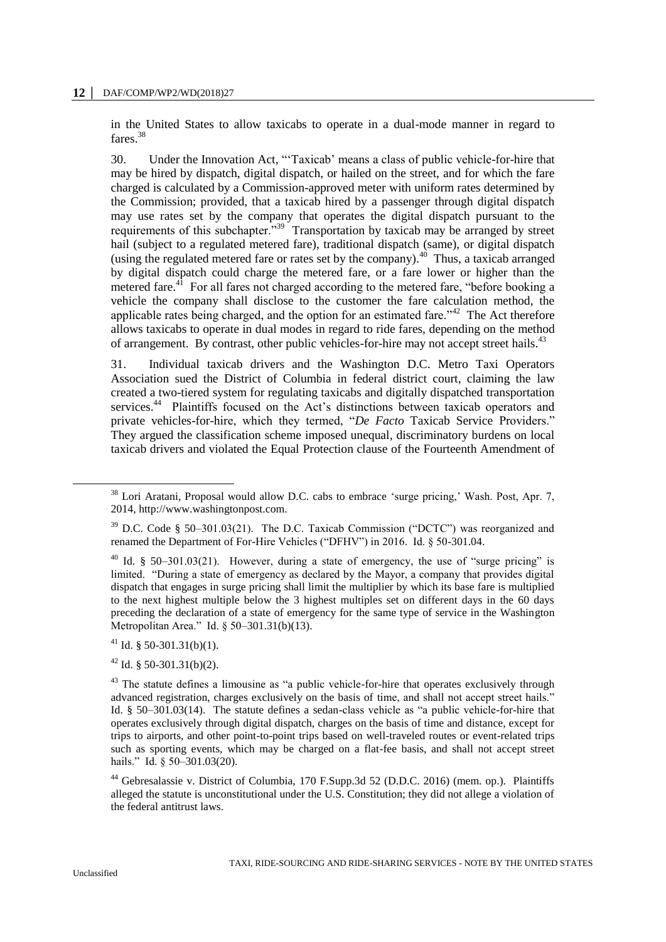in the United States to allow taxicabs to operate in a dual-mode manner in regard to fares.<sup>38</sup>

30. Under the Innovation Act, "'Taxicab' means a class of public vehicle-for-hire that may be hired by dispatch, digital dispatch, or hailed on the street, and for which the fare charged is calculated by a Commission-approved meter with uniform rates determined by the Commission; provided, that a taxicab hired by a passenger through digital dispatch may use rates set by the company that operates the digital dispatch pursuant to the requirements of this subchapter."<sup>39</sup> Transportation by taxicab may be arranged by street hail (subject to a regulated metered fare), traditional dispatch (same), or digital dispatch (using the regulated metered fare or rates set by the company). $40$  Thus, a taxicab arranged by digital dispatch could charge the metered fare, or a fare lower or higher than the metered fare.<sup>41</sup> For all fares not charged according to the metered fare, "before booking a vehicle the company shall disclose to the customer the fare calculation method, the applicable rates being charged, and the option for an estimated fare.<sup> $342$ </sup> The Act therefore allows taxicabs to operate in dual modes in regard to ride fares, depending on the method of arrangement. By contrast, other public vehicles-for-hire may not accept street hails.<sup>43</sup>

31. Individual taxicab drivers and the Washington D.C. Metro Taxi Operators Association sued the District of Columbia in federal district court, claiming the law created a two-tiered system for regulating taxicabs and digitally dispatched transportation services.<sup>44</sup> Plaintiffs focused on the Act's distinctions between taxicab operators and private vehicles-for-hire, which they termed, "*De Facto* Taxicab Service Providers." They argued the classification scheme imposed unequal, discriminatory burdens on local taxicab drivers and violated the Equal Protection clause of the Fourteenth Amendment of

 $\ddot{ }$ 

<sup>&</sup>lt;sup>38</sup> Lori Aratani, Proposal would allow D.C. cabs to embrace 'surge pricing,' Wash. Post, Apr. 7, 2014, [http://www.washingtonpost.com.](http://www.washingtonpost.com/)

<sup>39</sup> D.C. Code § 50–301.03(21). The D.C. Taxicab Commission ("DCTC") was reorganized and renamed the Department of For-Hire Vehicles ("DFHV") in 2016. Id. § 50-301.04.

<sup>&</sup>lt;sup>40</sup> Id. § 50–301.03(21). However, during a state of emergency, the use of "surge pricing" is limited. "During a state of emergency as declared by the Mayor, a company that provides digital dispatch that engages in surge pricing shall limit the multiplier by which its base fare is multiplied to the next highest multiple below the 3 highest multiples set on different days in the 60 days preceding the declaration of a state of emergency for the same type of service in the Washington Metropolitan Area." Id. § 50–301.31(b)(13).

 $41$  Id. § 50-301.31(b)(1).

 $42$  Id. § 50-301.31(b)(2).

 $43$  The statute defines a limousine as "a public vehicle-for-hire that operates exclusively through advanced registration, charges exclusively on the basis of time, and shall not accept street hails." Id. § 50–301.03(14). The statute defines a sedan-class vehicle as "a public vehicle-for-hire that operates exclusively through digital dispatch, charges on the basis of time and distance, except for trips to airports, and other point-to-point trips based on well-traveled routes or event-related trips such as sporting events, which may be charged on a flat-fee basis, and shall not accept street hails." Id. § 50-301.03(20).

<sup>44</sup> Gebresalassie v. District of Columbia, 170 F.Supp.3d 52 (D.D.C. 2016) (mem. op.). Plaintiffs alleged the statute is unconstitutional under the U.S. Constitution; they did not allege a violation of the federal antitrust laws.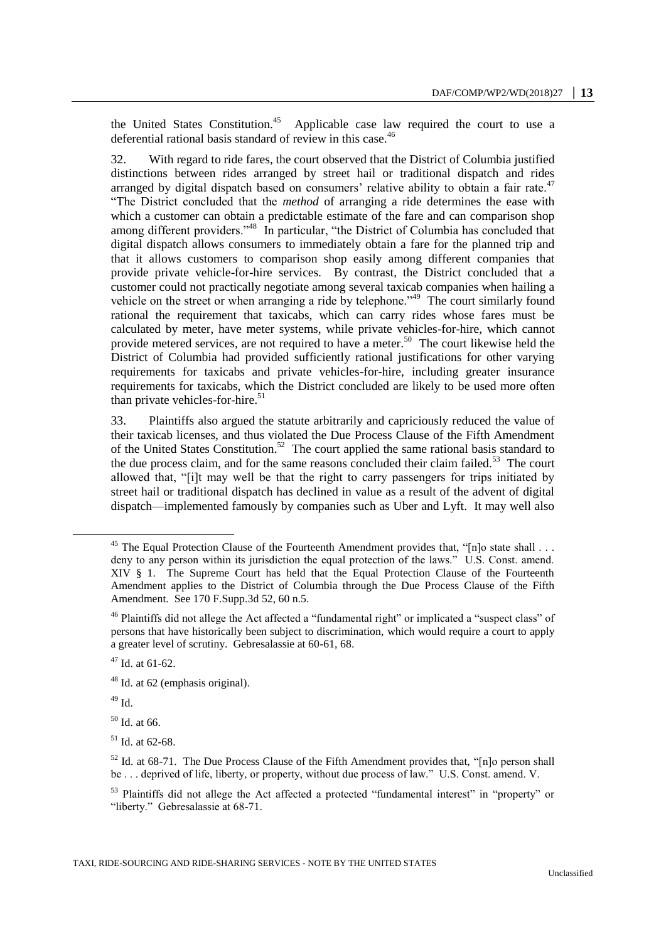the United States Constitution.<sup>45</sup> Applicable case law required the court to use a deferential rational basis standard of review in this case.<sup>46</sup>

32. With regard to ride fares, the court observed that the District of Columbia justified distinctions between rides arranged by street hail or traditional dispatch and rides arranged by digital dispatch based on consumers' relative ability to obtain a fair rate. $47$ "The District concluded that the *method* of arranging a ride determines the ease with which a customer can obtain a predictable estimate of the fare and can comparison shop among different providers."<sup>48</sup> In particular, "the District of Columbia has concluded that digital dispatch allows consumers to immediately obtain a fare for the planned trip and that it allows customers to comparison shop easily among different companies that provide private vehicle-for-hire services. By contrast, the District concluded that a customer could not practically negotiate among several taxicab companies when hailing a vehicle on the street or when arranging a ride by telephone."<sup>49</sup> The court similarly found rational the requirement that taxicabs, which can carry rides whose fares must be calculated by meter, have meter systems, while private vehicles-for-hire, which cannot provide metered services, are not required to have a meter.<sup>50</sup> The court likewise held the District of Columbia had provided sufficiently rational justifications for other varying requirements for taxicabs and private vehicles-for-hire, including greater insurance requirements for taxicabs, which the District concluded are likely to be used more often than private vehicles-for-hire. $51$ 

33. Plaintiffs also argued the statute arbitrarily and capriciously reduced the value of their taxicab licenses, and thus violated the Due Process Clause of the Fifth Amendment of the United States Constitution.<sup>52</sup> The court applied the same rational basis standard to the due process claim, and for the same reasons concluded their claim failed.<sup>53</sup> The court allowed that, "[i]t may well be that the right to carry passengers for trips initiated by street hail or traditional dispatch has declined in value as a result of the advent of digital dispatch—implemented famously by companies such as Uber and Lyft. It may well also

 $49$  Id.

 $\overline{a}$ 

<sup>50</sup> Id. at 66.

 $51$  Id. at 62-68.

<sup>&</sup>lt;sup>45</sup> The Equal Protection Clause of the Fourteenth Amendment provides that, "[n]o state shall . . . deny to any person within its jurisdiction the equal protection of the laws." U.S. Const. amend. XIV § 1. The Supreme Court has held that the Equal Protection Clause of the Fourteenth Amendment applies to the District of Columbia through the Due Process Clause of the Fifth Amendment. See 170 F.Supp.3d 52, 60 n.5.

<sup>&</sup>lt;sup>46</sup> Plaintiffs did not allege the Act affected a "fundamental right" or implicated a "suspect class" of persons that have historically been subject to discrimination, which would require a court to apply a greater level of scrutiny. Gebresalassie at 60-61, 68.

 $47$  Id. at 61-62.

 $48$  Id. at 62 (emphasis original).

 $52$  Id. at 68-71. The Due Process Clause of the Fifth Amendment provides that, "[n]o person shall be . . . deprived of life, liberty, or property, without due process of law." U.S. Const. amend. V.

<sup>&</sup>lt;sup>53</sup> Plaintiffs did not allege the Act affected a protected "fundamental interest" in "property" or "liberty." Gebresalassie at 68-71.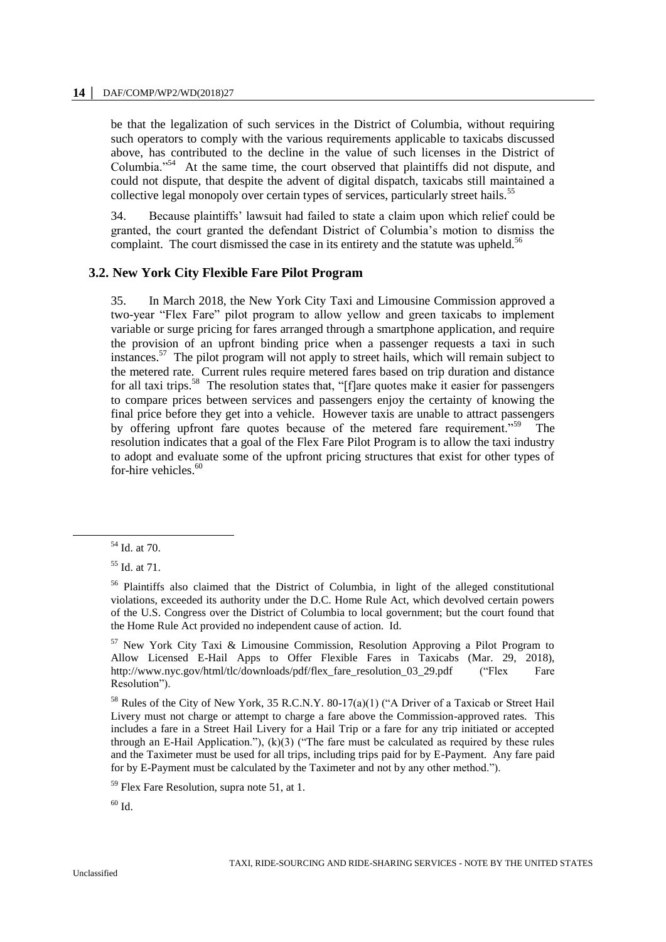#### **14 │** DAF/COMP/WP2/WD(2018)27

be that the legalization of such services in the District of Columbia, without requiring such operators to comply with the various requirements applicable to taxicabs discussed above, has contributed to the decline in the value of such licenses in the District of Columbia."<sup>54</sup> At the same time, the court observed that plaintiffs did not dispute, and could not dispute, that despite the advent of digital dispatch, taxicabs still maintained a collective legal monopoly over certain types of services, particularly street hails.<sup>55</sup>

34. Because plaintiffs' lawsuit had failed to state a claim upon which relief could be granted, the court granted the defendant District of Columbia's motion to dismiss the complaint. The court dismissed the case in its entirety and the statute was upheld.<sup>56</sup>

#### **3.2. New York City Flexible Fare Pilot Program**

35. In March 2018, the New York City Taxi and Limousine Commission approved a two-year "Flex Fare" pilot program to allow yellow and green taxicabs to implement variable or surge pricing for fares arranged through a smartphone application, and require the provision of an upfront binding price when a passenger requests a taxi in such instances.<sup>57</sup> The pilot program will not apply to street hails, which will remain subject to the metered rate. Current rules require metered fares based on trip duration and distance for all taxi trips.<sup>58</sup> The resolution states that, "[f]are quotes make it easier for passengers to compare prices between services and passengers enjoy the certainty of knowing the final price before they get into a vehicle. However taxis are unable to attract passengers by offering upfront fare quotes because of the metered fare requirement."<sup>59</sup> The resolution indicates that a goal of the Flex Fare Pilot Program is to allow the taxi industry to adopt and evaluate some of the upfront pricing structures that exist for other types of for-hire vehicles.<sup>60</sup>

<sup>54</sup> Id. at 70.

<sup>55</sup> Id. at 71.

<sup>&</sup>lt;sup>56</sup> Plaintiffs also claimed that the District of Columbia, in light of the alleged constitutional violations, exceeded its authority under the D.C. Home Rule Act, which devolved certain powers of the U.S. Congress over the District of Columbia to local government; but the court found that the Home Rule Act provided no independent cause of action. Id.

<sup>57</sup> New York City Taxi & Limousine Commission, Resolution Approving a Pilot Program to Allow Licensed E-Hail Apps to Offer Flexible Fares in Taxicabs (Mar. 29, 2018), [http://www.nyc.gov/html/tlc/downloads/pdf/flex\\_fare\\_resolution\\_03\\_29.pdf](http://www.nyc.gov/html/tlc/downloads/pdf/flex_fare_resolution_03_29.pdf) ("Flex Fare Resolution").

<sup>&</sup>lt;sup>58</sup> Rules of the City of New York, 35 R.C.N.Y. 80-17(a)(1) ("A Driver of a Taxicab or Street Hail Livery must not charge or attempt to charge a fare above the Commission-approved rates. This includes a fare in a Street Hail Livery for a Hail Trip or a fare for any trip initiated or accepted through an E-Hail Application."),  $(k)(3)$  ("The fare must be calculated as required by these rules and the Taximeter must be used for all trips, including trips paid for by E-Payment. Any fare paid for by E-Payment must be calculated by the Taximeter and not by any other method.").

<sup>59</sup> Flex Fare Resolution, supra note 51, at 1.

 $60$  Id.